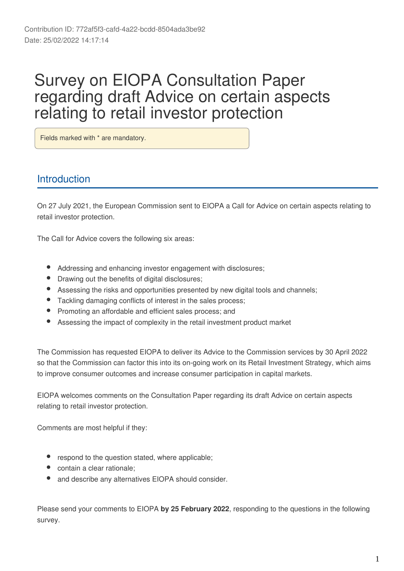# Survey on EIOPA Consultation Paper regarding draft Advice on certain aspects relating to retail investor protection

Fields marked with \* are mandatory.

## Introduction

On 27 July 2021, the European Commission sent to EIOPA a Call for Advice on certain aspects relating to retail investor protection.

The Call for Advice covers the following six areas:

- Addressing and enhancing investor engagement with disclosures;
- Drawing out the benefits of digital disclosures;
- Assessing the risks and opportunities presented by new digital tools and channels;
- Tackling damaging conflicts of interest in the sales process;
- Promoting an affordable and efficient sales process; and
- Assessing the impact of complexity in the retail investment product market

The Commission has requested EIOPA to deliver its Advice to the Commission services by 30 April 2022 so that the Commission can factor this into its on-going work on its Retail Investment Strategy, which aims to improve consumer outcomes and increase consumer participation in capital markets.

EIOPA welcomes comments on the Consultation Paper regarding its draft Advice on certain aspects relating to retail investor protection.

Comments are most helpful if they:

- respond to the question stated, where applicable;
- contain a clear rationale;
- and describe any alternatives EIOPA should consider.

Please send your comments to EIOPA by 25 February 2022, responding to the questions in the following survey.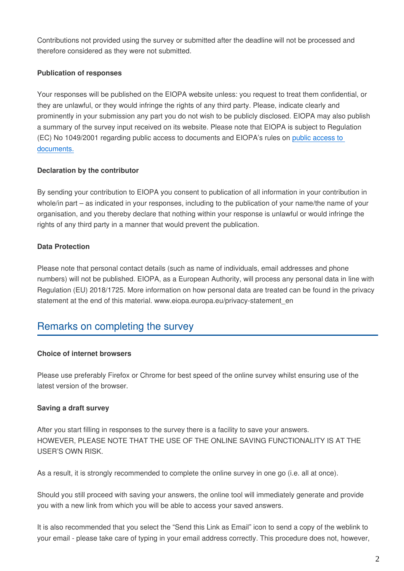Contributions not provided using the survey or submitted after the deadline will not be processed and therefore considered as they were not submitted.

#### **Publication of responses**

Your responses will be published on the EIOPA website unless: you request to treat them confidential, or they are unlawful, or they would infringe the rights of any third party. Please, indicate clearly and prominently in your submission any part you do not wish to be publicly disclosed. EIOPA may also publish a summary of the survey input received on its website. Please note that EIOPA is subject to Regulation (EC) No 1049/2001 regarding public access to documents and EIOPA's rules on [public access to](https://www.eiopa.europa.eu/about/accountability-and-transparency/public-access-documents_en)  [documents.](https://www.eiopa.europa.eu/about/accountability-and-transparency/public-access-documents_en)

#### **Declaration by the contributor**

By sending your contribution to EIOPA you consent to publication of all information in your contribution in whole/in part – as indicated in your responses, including to the publication of your name/the name of your organisation, and you thereby declare that nothing within your response is unlawful or would infringe the rights of any third party in a manner that would prevent the publication.

#### **Data Protection**

Please note that personal contact details (such as name of individuals, email addresses and phone numbers) will not be published. EIOPA, as a European Authority, will process any personal data in line with Regulation (EU) 2018/1725. More information on how personal data are treated can be found in the privacy statement at the end of this material. www.eiopa.europa.eu/privacy-statement en

## Remarks on completing the survey

#### **Choice of internet browsers**

Please use preferably Firefox or Chrome for best speed of the online survey whilst ensuring use of the latest version of the browser.

#### **Saving a draft survey**

After you start filling in responses to the survey there is a facility to save your answers. HOWEVER, PLEASE NOTE THAT THE USE OF THE ONLINE SAVING FUNCTIONALITY IS AT THE USER'S OWN RISK.

As a result, it is strongly recommended to complete the online survey in one go (i.e. all at once).

Should you still proceed with saving your answers, the online tool will immediately generate and provide you with a new link from which you will be able to access your saved answers.

It is also recommended that you select the "Send this Link as Email" icon to send a copy of the weblink to your email - please take care of typing in your email address correctly. This procedure does not, however,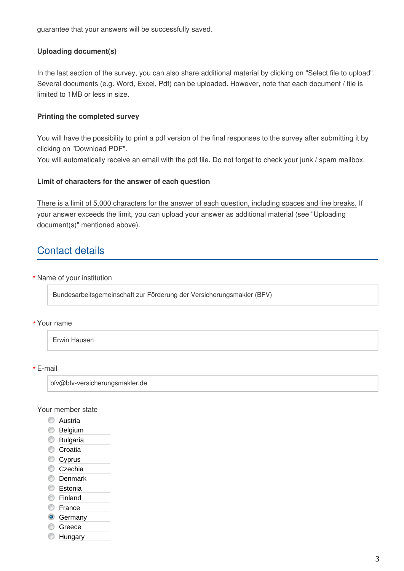guarantee that your answers will be successfully saved.

#### **Uploading document(s)**

In the last section of the survey, you can also share additional material by clicking on "Select file to upload". Several documents (e.g. Word, Excel, Pdf) can be uploaded. However, note that each document / file is limited to 1MB or less in size.

#### **Printing the completed survey**

You will have the possibility to print a pdf version of the final responses to the survey after submitting it by clicking on "Download PDF".

You will automatically receive an email with the pdf file. Do not forget to check your junk / spam mailbox.

#### **Limit of characters for the answer of each question**

There is a limit of 5,000 characters for the answer of each question, including spaces and line breaks. If your answer exceeds the limit, you can upload your answer as additional material (see "Uploading document(s)" mentioned above).

## Contact details

Name of your institution **\***

Bundesarbeitsgemeinschaft zur Förderung der Versicherungsmakler (BFV)

#### Your name **\***

Erwin Hausen

E-mail **\***

bfv@bfv-versicherungsmakler.de

#### Your member state

- **C** Austria
- **Belgium**
- **Bulgaria**
- Croatia
- Cyprus
- Czechia
- **Denmark**
- **Estonia**
- **C** Finland
- **Erance**
- **G** Germany
- **Greece**
- **Example Hungary**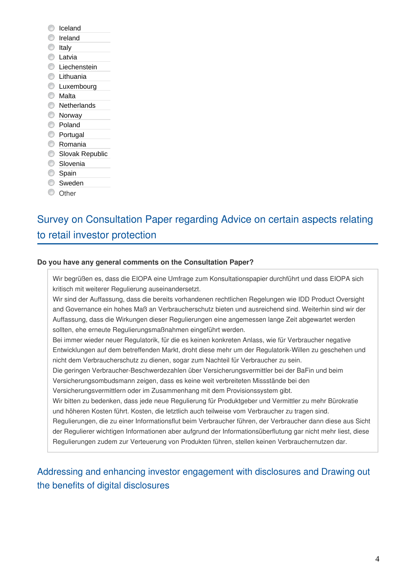- C Iceland
- C Ireland
- $\circ$  Italy
- **C** Latvia
- C Liechenstein
- **C** Lithuania
- **C** Luxembourg
- Malta
- **Netherlands**
- **Norway**
- Poland
- **Portugal**
- Romania
- Slovak Republic
- **Slovenia**
- Spain
- Sweden
- O Other

## Survey on Consultation Paper regarding Advice on certain aspects relating to retail investor protection

### **Do you have any general comments on the Consultation Paper?**

Wir begrüßen es, dass die EIOPA eine Umfrage zum Konsultationspapier durchführt und dass EIOPA sich kritisch mit weiterer Regulierung auseinandersetzt.

Wir sind der Auffassung, dass die bereits vorhandenen rechtlichen Regelungen wie IDD Product Oversight and Governance ein hohes Maß an Verbraucherschutz bieten und ausreichend sind. Weiterhin sind wir der Auffassung, dass die Wirkungen dieser Regulierungen eine angemessen lange Zeit abgewartet werden sollten, ehe erneute Regulierungsmaßnahmen eingeführt werden.

Bei immer wieder neuer Regulatorik, für die es keinen konkreten Anlass, wie für Verbraucher negative Entwicklungen auf dem betreffenden Markt, droht diese mehr um der Regulatorik-Willen zu geschehen und nicht dem Verbraucherschutz zu dienen, sogar zum Nachteil für Verbraucher zu sein.

Die geringen Verbraucher-Beschwerdezahlen über Versicherungsvermittler bei der BaFin und beim Versicherungsombudsmann zeigen, dass es keine weit verbreiteten Missstände bei den

Versicherungsvermittlern oder im Zusammenhang mit dem Provisionssystem gibt.

Wir bitten zu bedenken, dass jede neue Regulierung für Produktgeber und Vermittler zu mehr Bürokratie und höheren Kosten führt. Kosten, die letztlich auch teilweise vom Verbraucher zu tragen sind.

Regulierungen, die zu einer Informationsflut beim Verbraucher führen, der Verbraucher dann diese aus Sicht der Regulierer wichtigen Informationen aber aufgrund der Informationsüberflutung gar nicht mehr liest, diese Regulierungen zudem zur Verteuerung von Produkten führen, stellen keinen Verbrauchernutzen dar.

## Addressing and enhancing investor engagement with disclosures and Drawing out the benefits of digital disclosures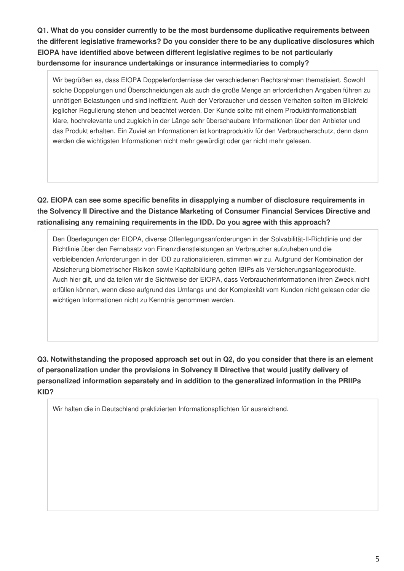**Q1. What do you consider currently to be the most burdensome duplicative requirements between the different legislative frameworks? Do you consider there to be any duplicative disclosures which EIOPA have identified above between different legislative regimes to be not particularly burdensome for insurance undertakings or insurance intermediaries to comply?**

Wir begrüßen es, dass EIOPA Doppelerfordernisse der verschiedenen Rechtsrahmen thematisiert. Sowohl solche Doppelungen und Überschneidungen als auch die große Menge an erforderlichen Angaben führen zu unnötigen Belastungen und sind ineffizient. Auch der Verbraucher und dessen Verhalten sollten im Blickfeld jeglicher Regulierung stehen und beachtet werden. Der Kunde sollte mit einem Produktinformationsblatt klare, hochrelevante und zugleich in der Länge sehr überschaubare Informationen über den Anbieter und das Produkt erhalten. Ein Zuviel an Informationen ist kontraproduktiv für den Verbraucherschutz, denn dann werden die wichtigsten Informationen nicht mehr gewürdigt oder gar nicht mehr gelesen.

**Q2. EIOPA can see some specific benefits in disapplying a number of disclosure requirements in the Solvency II Directive and the Distance Marketing of Consumer Financial Services Directive and rationalising any remaining requirements in the IDD. Do you agree with this approach?**

Den Überlegungen der EIOPA, diverse Offenlegungsanforderungen in der Solvabilität-II-Richtlinie und der Richtlinie über den Fernabsatz von Finanzdienstleistungen an Verbraucher aufzuheben und die verbleibenden Anforderungen in der IDD zu rationalisieren, stimmen wir zu. Aufgrund der Kombination der Absicherung biometrischer Risiken sowie Kapitalbildung gelten IBIPs als Versicherungsanlageprodukte. Auch hier gilt, und da teilen wir die Sichtweise der EIOPA, dass Verbraucherinformationen ihren Zweck nicht erfüllen können, wenn diese aufgrund des Umfangs und der Komplexität vom Kunden nicht gelesen oder die wichtigen Informationen nicht zu Kenntnis genommen werden.

**Q3. Notwithstanding the proposed approach set out in Q2, do you consider that there is an element of personalization under the provisions in Solvency II Directive that would justify delivery of personalized information separately and in addition to the generalized information in the PRIIPs KID?**

Wir halten die in Deutschland praktizierten Informationspflichten für ausreichend.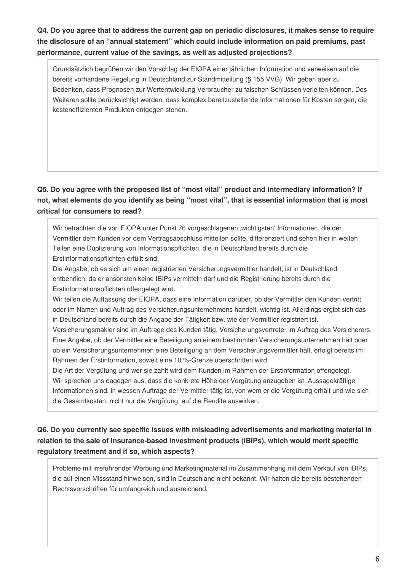**Q4. Do you agree that to address the current gap on periodic disclosures, it makes sense to require the disclosure of an "annual statement" which could include information on paid premiums, past performance, current value of the savings, as well as adjusted projections?**

Grundsätzlich begrüßen wir den Vorschlag der EIOPA einer jährlichen Information und verweisen auf die bereits vorhandene Regelung in Deutschland zur Standmitteilung (§ 155 VVG). Wir geben aber zu Bedenken, dass Prognosen zur Wertentwicklung Verbraucher zu falschen Schlüssen verleiten können. Des Weiteren sollte berücksichtigt werden, dass komplex bereitzustellende Informationen für Kosten sorgen, die kosteneffizienten Produkten entgegen stehen.

### **Q5. Do you agree with the proposed list of "most vital" product and intermediary information? If not, what elements do you identify as being "most vital", that is essential information that is most critical for consumers to read?**

Wir betrachten die von EIOPA unter Punkt 76 vorgeschlagenen 'wichtigsten' Informationen, die der Vermittler dem Kunden vor dem Vertragsabschluss mitteilen sollte, differenziert und sehen hier in weiten Teilen eine Duplizierung von Informationspflichten, die in Deutschland bereits durch die Erstinformationspflichten erfüllt sind:

Die Angabe, ob es sich um einen registrierten Versicherungsvermittler handelt, ist in Deutschland entbehrlich, da er ansonsten keine IBIPs vermitteln darf und die Registrierung bereits durch die Erstinformationspflichten offengelegt wird.

Wir teilen die Auffassung der EIOPA, dass eine Information darüber, ob der Vermittler den Kunden vertritt oder im Namen und Auftrag des Versicherungsunternehmens handelt, wichtig ist. Allerdings ergibt sich das in Deutschland bereits durch die Angabe der Tätigkeit bzw. wie der Vermittler registriert ist.

Versicherungsmakler sind im Auftrage des Kunden tätig, Versicherungsvertreter im Auftrag des Versicherers. Eine Angabe, ob der Vermittler eine Beteiligung an einem bestimmten Versicherungsunternehmen hält oder ob ein Versicherungsunternehmen eine Beteiligung an dem Versicherungsvermittler hält, erfolgt bereits im Rahmen der Erstinformation, soweit eine 10 %-Grenze überschritten wird.

Die Art der Vergütung und wer sie zahlt wird dem Kunden im Rahmen der Erstinformation offengelegt. Wir sprechen uns dagegen aus, dass die konkrete Höhe der Vergütung anzugeben ist. Aussagekräftige Informationen sind, in wessen Auftrage der Vermittler tätig ist, von wem er die Vergütung erhält und wie sich die Gesamtkosten, nicht nur die Vergütung, auf die Rendite auswirken.

### **Q6. Do you currently see specific issues with misleading advertisements and marketing material in relation to the sale of insurance-based investment products (IBIPs), which would merit specific regulatory treatment and if so, which aspects?**

Probleme mit irreführender Werbung und Marketingmaterial im Zusammenhang mit dem Verkauf von IBIPs, die auf einen Missstand hinweisen, sind in Deutschland nicht bekannt. Wir halten die bereits bestehenden Rechtsvorschriften für umfangreich und ausreichend.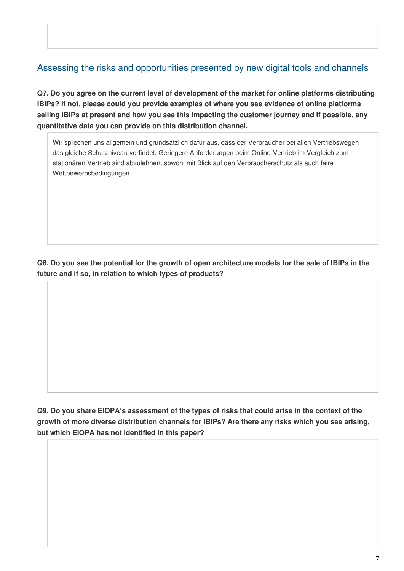## Assessing the risks and opportunities presented by new digital tools and channels

**Q7. Do you agree on the current level of development of the market for online platforms distributing IBIPs? If not, please could you provide examples of where you see evidence of online platforms selling IBIPs at present and how you see this impacting the customer journey and if possible, any quantitative data you can provide on this distribution channel.**

Wir sprechen uns allgemein und grundsätzlich dafür aus, dass der Verbraucher bei allen Vertriebswegen das gleiche Schutzniveau vorfindet. Geringere Anforderungen beim Online-Vertrieb im Vergleich zum stationären Vertrieb sind abzulehnen, sowohl mit Blick auf den Verbraucherschutz als auch faire Wettbewerbsbedingungen.

**Q8. Do you see the potential for the growth of open architecture models for the sale of IBIPs in the future and if so, in relation to which types of products?**

**Q9. Do you share EIOPA's assessment of the types of risks that could arise in the context of the growth of more diverse distribution channels for IBIPs? Are there any risks which you see arising, but which EIOPA has not identified in this paper?**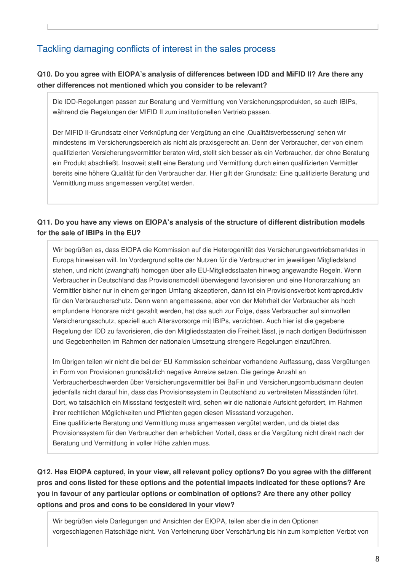## Tackling damaging conflicts of interest in the sales process

### **Q10. Do you agree with EIOPA's analysis of differences between IDD and MiFID II? Are there any other differences not mentioned which you consider to be relevant?**

Die IDD-Regelungen passen zur Beratung und Vermittlung von Versicherungsprodukten, so auch IBIPs, während die Regelungen der MIFID II zum institutionellen Vertrieb passen.

Der MIFID II-Grundsatz einer Verknüpfung der Vergütung an eine 'Qualitätsverbesserung' sehen wir mindestens im Versicherungsbereich als nicht als praxisgerecht an. Denn der Verbraucher, der von einem qualifizierten Versicherungsvermittler beraten wird, stellt sich besser als ein Verbraucher, der ohne Beratung ein Produkt abschließt. Insoweit stellt eine Beratung und Vermittlung durch einen qualifizierten Vermittler bereits eine höhere Qualität für den Verbraucher dar. Hier gilt der Grundsatz: Eine qualifizierte Beratung und Vermittlung muss angemessen vergütet werden.

### **Q11. Do you have any views on EIOPA's analysis of the structure of different distribution models for the sale of IBIPs in the EU?**

Wir begrüßen es, dass EIOPA die Kommission auf die Heterogenität des Versicherungsvertriebsmarktes in Europa hinweisen will. Im Vordergrund sollte der Nutzen für die Verbraucher im jeweiligen Mitgliedsland stehen, und nicht (zwanghaft) homogen über alle EU-Mitgliedsstaaten hinweg angewandte Regeln. Wenn Verbraucher in Deutschland das Provisionsmodell überwiegend favorisieren und eine Honorarzahlung an Vermittler bisher nur in einem geringen Umfang akzeptieren, dann ist ein Provisionsverbot kontraproduktiv für den Verbraucherschutz. Denn wenn angemessene, aber von der Mehrheit der Verbraucher als hoch empfundene Honorare nicht gezahlt werden, hat das auch zur Folge, dass Verbraucher auf sinnvollen Versicherungsschutz, speziell auch Altersvorsorge mit IBIPs, verzichten. Auch hier ist die gegebene Regelung der IDD zu favorisieren, die den Mitgliedsstaaten die Freiheit lässt, je nach dortigen Bedürfnissen und Gegebenheiten im Rahmen der nationalen Umsetzung strengere Regelungen einzuführen.

Im Übrigen teilen wir nicht die bei der EU Kommission scheinbar vorhandene Auffassung, dass Vergütungen in Form von Provisionen grundsätzlich negative Anreize setzen. Die geringe Anzahl an Verbraucherbeschwerden über Versicherungsvermittler bei BaFin und Versicherungsombudsmann deuten jedenfalls nicht darauf hin, dass das Provisionssystem in Deutschland zu verbreiteten Missständen führt. Dort, wo tatsächlich ein Missstand festgestellt wird, sehen wir die nationale Aufsicht gefordert, im Rahmen ihrer rechtlichen Möglichkeiten und Pflichten gegen diesen Missstand vorzugehen. Eine qualifizierte Beratung und Vermittlung muss angemessen vergütet werden, und da bietet das Provisionssystem für den Verbraucher den erheblichen Vorteil, dass er die Vergütung nicht direkt nach der

Beratung und Vermittlung in voller Höhe zahlen muss.

**Q12. Has EIOPA captured, in your view, all relevant policy options? Do you agree with the different pros and cons listed for these options and the potential impacts indicated for these options? Are you in favour of any particular options or combination of options? Are there any other policy options and pros and cons to be considered in your view?**

Wir begrüßen viele Darlegungen und Ansichten der EIOPA, teilen aber die in den Optionen vorgeschlagenen Ratschläge nicht. Von Verfeinerung über Verschärfung bis hin zum kompletten Verbot von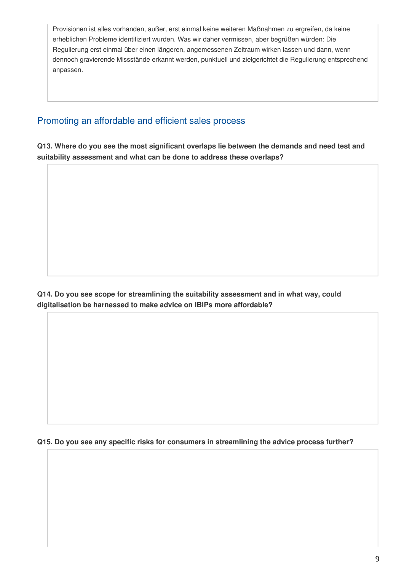Provisionen ist alles vorhanden, außer, erst einmal keine weiteren Maßnahmen zu ergreifen, da keine erheblichen Probleme identifiziert wurden. Was wir daher vermissen, aber begrüßen würden: Die Regulierung erst einmal über einen längeren, angemessenen Zeitraum wirken lassen und dann, wenn dennoch gravierende Missstände erkannt werden, punktuell und zielgerichtet die Regulierung entsprechend anpassen.

### Promoting an affordable and efficient sales process

**Q13. Where do you see the most significant overlaps lie between the demands and need test and suitability assessment and what can be done to address these overlaps?**

**Q14. Do you see scope for streamlining the suitability assessment and in what way, could digitalisation be harnessed to make advice on IBIPs more affordable?**

**Q15. Do you see any specific risks for consumers in streamlining the advice process further?**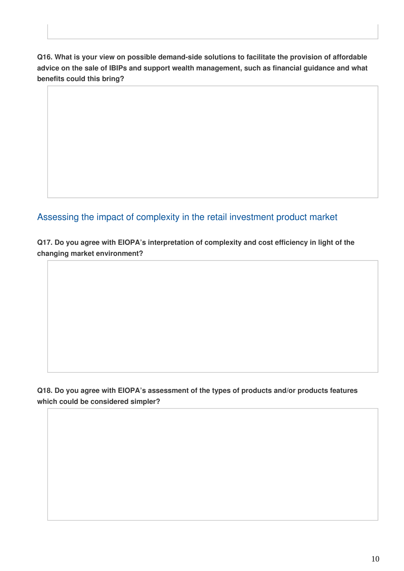**Q16. What is your view on possible demand-side solutions to facilitate the provision of affordable advice on the sale of IBIPs and support wealth management, such as financial guidance and what benefits could this bring?**

Assessing the impact of complexity in the retail investment product market

**Q17. Do you agree with EIOPA's interpretation of complexity and cost efficiency in light of the changing market environment?**

**Q18. Do you agree with EIOPA's assessment of the types of products and/or products features which could be considered simpler?**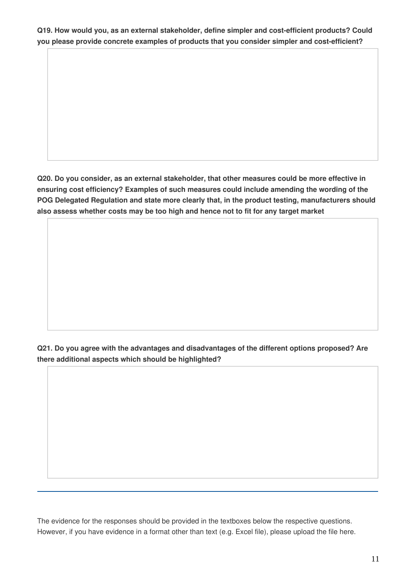**Q19. How would you, as an external stakeholder, define simpler and cost-efficient products? Could you please provide concrete examples of products that you consider simpler and cost-efficient?**

**Q20. Do you consider, as an external stakeholder, that other measures could be more effective in ensuring cost efficiency? Examples of such measures could include amending the wording of the POG Delegated Regulation and state more clearly that, in the product testing, manufacturers should also assess whether costs may be too high and hence not to fit for any target market**

**Q21. Do you agree with the advantages and disadvantages of the different options proposed? Are there additional aspects which should be highlighted?**

The evidence for the responses should be provided in the textboxes below the respective questions. However, if you have evidence in a format other than text (e.g. Excel file), please upload the file here.